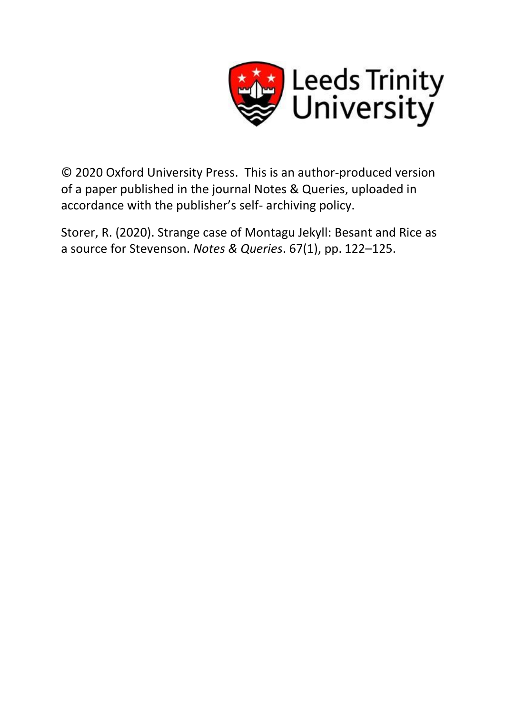

© 2020 Oxford University Press. This is an author-produced version of a paper published in the journal Notes & Queries, uploaded in accordance with the publisher's self- archiving policy.

Storer, R. (2020). Strange case of Montagu Jekyll: Besant and Rice as a source for Stevenson. *Notes & Queries*. 67(1), pp. 122–125.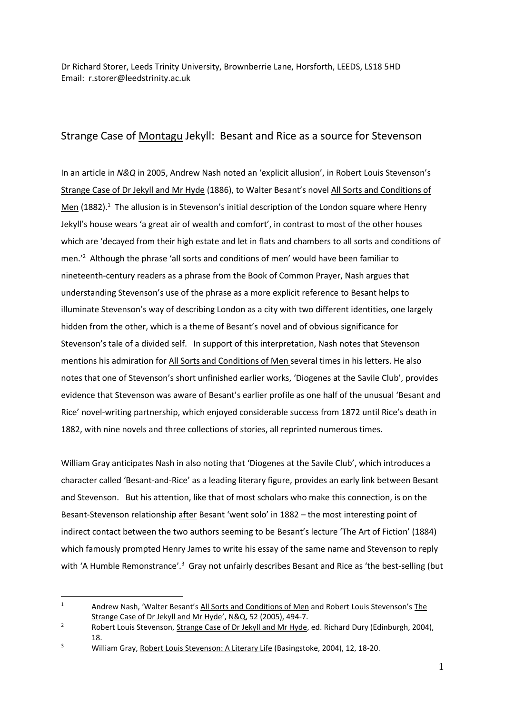Dr Richard Storer, Leeds Trinity University, Brownberrie Lane, Horsforth, LEEDS, LS18 5HD Email: r.storer@leedstrinity.ac.uk

## Strange Case of Montagu Jekyll: Besant and Rice as a source for Stevenson

In an article in *N&Q* in 2005, Andrew Nash noted an 'explicit allusion', in Robert Louis Stevenson's Strange Case of Dr Jekyll and Mr Hyde (1886), to Walter Besant's novel All Sorts and Conditions of Men (1882).<sup>1</sup> The allusion is in Stevenson's initial description of the London square where Henry Jekyll's house wears 'a great air of wealth and comfort', in contrast to most of the other houses which are 'decayed from their high estate and let in flats and chambers to all sorts and conditions of men.'<sup>2</sup> Although the phrase 'all sorts and conditions of men' would have been familiar to nineteenth-century readers as a phrase from the Book of Common Prayer, Nash argues that understanding Stevenson's use of the phrase as a more explicit reference to Besant helps to illuminate Stevenson's way of describing London as a city with two different identities, one largely hidden from the other, which is a theme of Besant's novel and of obvious significance for Stevenson's tale of a divided self. In support of this interpretation, Nash notes that Stevenson mentions his admiration for All Sorts and Conditions of Men several times in his letters. He also notes that one of Stevenson's short unfinished earlier works, 'Diogenes at the Savile Club', provides evidence that Stevenson was aware of Besant's earlier profile as one half of the unusual 'Besant and Rice' novel-writing partnership, which enjoyed considerable success from 1872 until Rice's death in 1882, with nine novels and three collections of stories, all reprinted numerous times.

William Gray anticipates Nash in also noting that 'Diogenes at the Savile Club', which introduces a character called 'Besant-and-Rice' as a leading literary figure, provides an early link between Besant and Stevenson. But his attention, like that of most scholars who make this connection, is on the Besant-Stevenson relationship after Besant 'went solo' in 1882 – the most interesting point of indirect contact between the two authors seeming to be Besant's lecture 'The Art of Fiction' (1884) which famously prompted Henry James to write his essay of the same name and Stevenson to reply with 'A Humble Remonstrance'.<sup>3</sup> Gray not unfairly describes Besant and Rice as 'the best-selling (but

 $1$  Andrew Nash, 'Walter Besant's All Sorts and Conditions of Men and Robert Louis Stevenson's The Strange Case of Dr Jekyll and Mr Hyde', N&Q, 52 (2005), 494-7.

<sup>&</sup>lt;sup>2</sup> Robert Louis Stevenson, Strange Case of Dr Jekyll and Mr Hyde, ed. Richard Dury (Edinburgh, 2004), 18.

<sup>&</sup>lt;sup>3</sup> William Gray, Robert Louis Stevenson: A Literary Life (Basingstoke, 2004), 12, 18-20.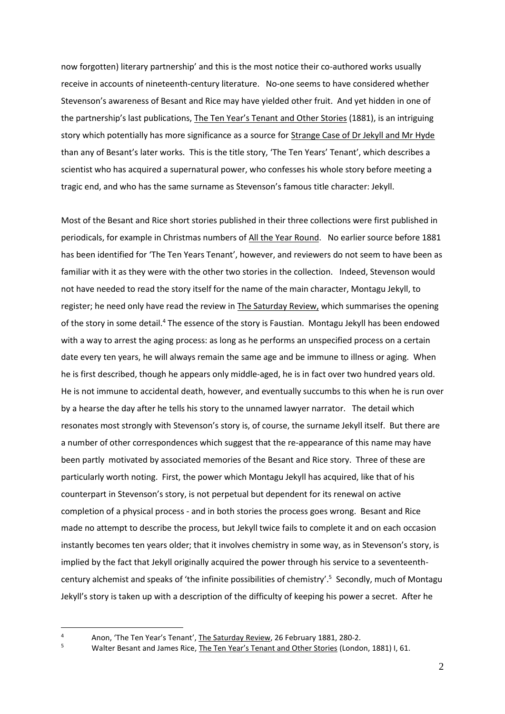now forgotten) literary partnership' and this is the most notice their co-authored works usually receive in accounts of nineteenth-century literature. No-one seems to have considered whether Stevenson's awareness of Besant and Rice may have yielded other fruit. And yet hidden in one of the partnership's last publications, The Ten Year's Tenant and Other Stories (1881), is an intriguing story which potentially has more significance as a source for Strange Case of Dr Jekyll and Mr Hyde than any of Besant's later works. This is the title story, 'The Ten Years' Tenant', which describes a scientist who has acquired a supernatural power, who confesses his whole story before meeting a tragic end, and who has the same surname as Stevenson's famous title character: Jekyll.

Most of the Besant and Rice short stories published in their three collections were first published in periodicals, for example in Christmas numbers of All the Year Round. No earlier source before 1881 has been identified for 'The Ten Years Tenant', however, and reviewers do not seem to have been as familiar with it as they were with the other two stories in the collection. Indeed, Stevenson would not have needed to read the story itself for the name of the main character, Montagu Jekyll, to register; he need only have read the review in The Saturday Review, which summarises the opening of the story in some detail.<sup>4</sup> The essence of the story is Faustian. Montagu Jekyll has been endowed with a way to arrest the aging process: as long as he performs an unspecified process on a certain date every ten years, he will always remain the same age and be immune to illness or aging. When he is first described, though he appears only middle-aged, he is in fact over two hundred years old. He is not immune to accidental death, however, and eventually succumbs to this when he is run over by a hearse the day after he tells his story to the unnamed lawyer narrator. The detail which resonates most strongly with Stevenson's story is, of course, the surname Jekyll itself. But there are a number of other correspondences which suggest that the re-appearance of this name may have been partly motivated by associated memories of the Besant and Rice story. Three of these are particularly worth noting. First, the power which Montagu Jekyll has acquired, like that of his counterpart in Stevenson's story, is not perpetual but dependent for its renewal on active completion of a physical process - and in both stories the process goes wrong. Besant and Rice made no attempt to describe the process, but Jekyll twice fails to complete it and on each occasion instantly becomes ten years older; that it involves chemistry in some way, as in Stevenson's story, is implied by the fact that Jekyll originally acquired the power through his service to a seventeenthcentury alchemist and speaks of 'the infinite possibilities of chemistry'.<sup>5</sup> Secondly, much of Montagu Jekyll's story is taken up with a description of the difficulty of keeping his power a secret. After he

<sup>4</sup> Anon, 'The Ten Year's Tenant', The Saturday Review, 26 February 1881, 280-2.<br>Melter Besent and James Bise, The Ten Year's Tenant and Other Staries (Lander

Walter Besant and James Rice, The Ten Year's Tenant and Other Stories (London, 1881) I, 61.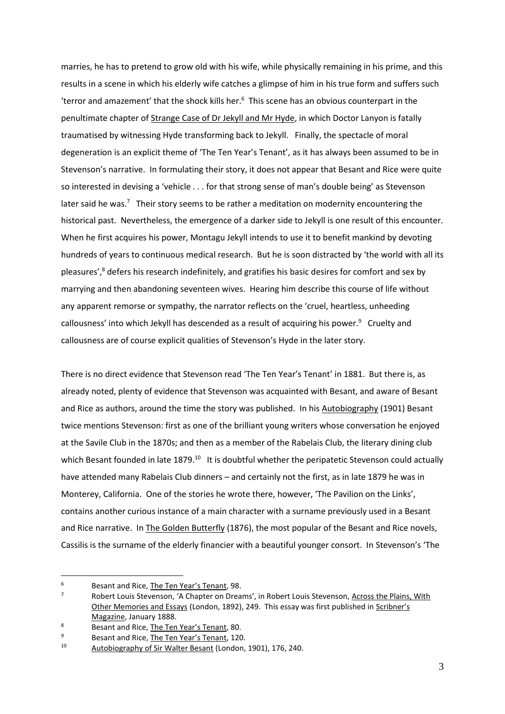marries, he has to pretend to grow old with his wife, while physically remaining in his prime, and this results in a scene in which his elderly wife catches a glimpse of him in his true form and suffers such 'terror and amazement' that the shock kills her. $6$  This scene has an obvious counterpart in the penultimate chapter of Strange Case of Dr Jekyll and Mr Hyde, in which Doctor Lanyon is fatally traumatised by witnessing Hyde transforming back to Jekyll. Finally, the spectacle of moral degeneration is an explicit theme of 'The Ten Year's Tenant', as it has always been assumed to be in Stevenson's narrative. In formulating their story, it does not appear that Besant and Rice were quite so interested in devising a 'vehicle . . . for that strong sense of man's double being' as Stevenson later said he was.<sup>7</sup> Their story seems to be rather a meditation on modernity encountering the historical past. Nevertheless, the emergence of a darker side to Jekyll is one result of this encounter. When he first acquires his power, Montagu Jekyll intends to use it to benefit mankind by devoting hundreds of years to continuous medical research. But he is soon distracted by 'the world with all its pleasures',<sup>8</sup> defers his research indefinitely, and gratifies his basic desires for comfort and sex by marrying and then abandoning seventeen wives. Hearing him describe this course of life without any apparent remorse or sympathy, the narrator reflects on the 'cruel, heartless, unheeding callousness' into which Jekyll has descended as a result of acquiring his power.<sup>9</sup> Cruelty and callousness are of course explicit qualities of Stevenson's Hyde in the later story.

There is no direct evidence that Stevenson read 'The Ten Year's Tenant' in 1881. But there is, as already noted, plenty of evidence that Stevenson was acquainted with Besant, and aware of Besant and Rice as authors, around the time the story was published. In his Autobiography (1901) Besant twice mentions Stevenson: first as one of the brilliant young writers whose conversation he enjoyed at the Savile Club in the 1870s; and then as a member of the Rabelais Club, the literary dining club which Besant founded in late 1879.<sup>10</sup> It is doubtful whether the peripatetic Stevenson could actually have attended many Rabelais Club dinners – and certainly not the first, as in late 1879 he was in Monterey, California. One of the stories he wrote there, however, 'The Pavilion on the Links', contains another curious instance of a main character with a surname previously used in a Besant and Rice narrative. In The Golden Butterfly (1876), the most popular of the Besant and Rice novels, Cassilis is the surname of the elderly financier with a beautiful younger consort. In Stevenson's 'The

<sup>&</sup>lt;sup>6</sup> Besant and Rice, <u>The Ten Year's Tenant</u>, 98.

<sup>7</sup> Robert Louis Stevenson, 'A Chapter on Dreams', in Robert Louis Stevenson, Across the Plains, With Other Memories and Essays (London, 1892), 249. This essay was first published in Scribner's Magazine, January 1888.

<sup>&</sup>lt;sup>8</sup><br>Besant and Rice, <u>The Ten Year's Tenant</u>, 80.<br>Besant and Rice, The Ten Year's Tenant, 120

<sup>&</sup>lt;sup>9</sup> Besant and Rice, <u>The Ten Year's Tenant</u>, 120.<br> $10$  Autobiography of Six Walter Besant (Landan

Autobiography of Sir Walter Besant (London, 1901), 176, 240.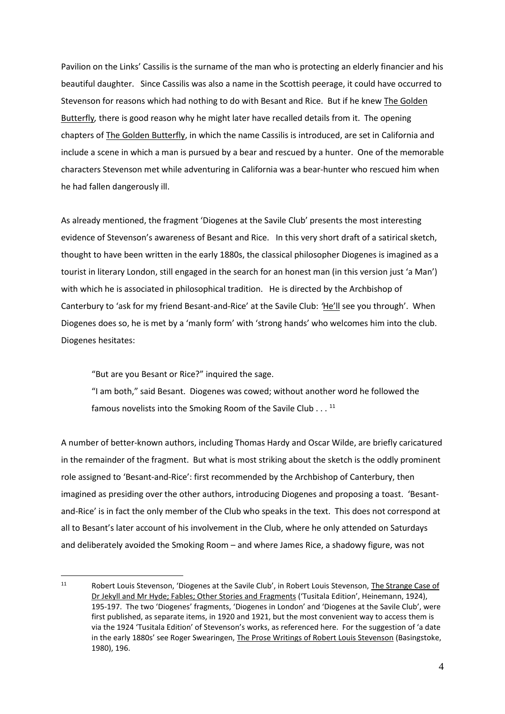Pavilion on the Links' Cassilis is the surname of the man who is protecting an elderly financier and his beautiful daughter. Since Cassilis was also a name in the Scottish peerage, it could have occurred to Stevenson for reasons which had nothing to do with Besant and Rice. But if he knew The Golden Butterfly*,* there is good reason why he might later have recalled details from it. The opening chapters of The Golden Butterfly, in which the name Cassilis is introduced, are set in California and include a scene in which a man is pursued by a bear and rescued by a hunter. One of the memorable characters Stevenson met while adventuring in California was a bear-hunter who rescued him when he had fallen dangerously ill.

As already mentioned, the fragment 'Diogenes at the Savile Club' presents the most interesting evidence of Stevenson's awareness of Besant and Rice. In this very short draft of a satirical sketch, thought to have been written in the early 1880s, the classical philosopher Diogenes is imagined as a tourist in literary London, still engaged in the search for an honest man (in this version just 'a Man') with which he is associated in philosophical tradition. He is directed by the Archbishop of Canterbury to 'ask for my friend Besant-and-Rice' at the Savile Club: *'*He'll see you through'. When Diogenes does so, he is met by a 'manly form' with 'strong hands' who welcomes him into the club. Diogenes hesitates:

"But are you Besant or Rice?" inquired the sage.

"I am both," said Besant. Diogenes was cowed; without another word he followed the famous novelists into the Smoking Room of the Savile Club . . .  $^{11}$ 

A number of better-known authors, including Thomas Hardy and Oscar Wilde, are briefly caricatured in the remainder of the fragment. But what is most striking about the sketch is the oddly prominent role assigned to 'Besant-and-Rice': first recommended by the Archbishop of Canterbury, then imagined as presiding over the other authors, introducing Diogenes and proposing a toast. 'Besantand-Rice' is in fact the only member of the Club who speaks in the text. This does not correspond at all to Besant's later account of his involvement in the Club, where he only attended on Saturdays and deliberately avoided the Smoking Room – and where James Rice, a shadowy figure, was not

<sup>11</sup> Robert Louis Stevenson, 'Diogenes at the Savile Club', in Robert Louis Stevenson, The Strange Case of Dr Jekyll and Mr Hyde; Fables; Other Stories and Fragments ('Tusitala Edition', Heinemann, 1924), 195-197. The two 'Diogenes' fragments, 'Diogenes in London' and 'Diogenes at the Savile Club', were first published, as separate items, in 1920 and 1921, but the most convenient way to access them is via the 1924 'Tusitala Edition' of Stevenson's works, as referenced here. For the suggestion of 'a date in the early 1880s' see Roger Swearingen, The Prose Writings of Robert Louis Stevenson (Basingstoke, 1980), 196.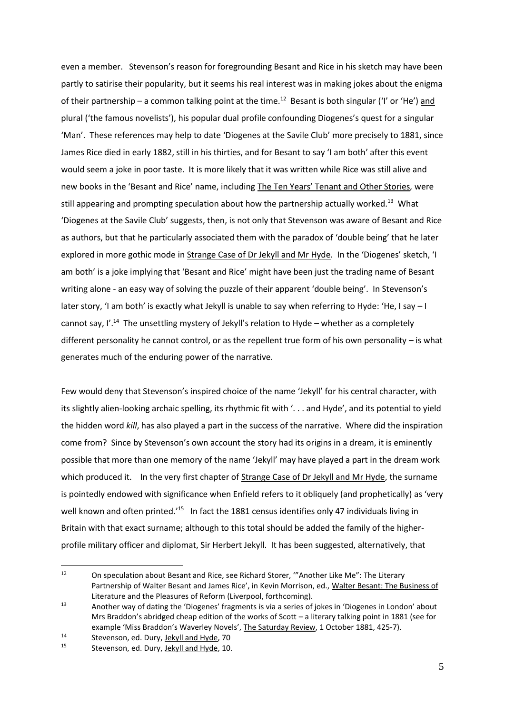even a member. Stevenson's reason for foregrounding Besant and Rice in his sketch may have been partly to satirise their popularity, but it seems his real interest was in making jokes about the enigma of their partnership – a common talking point at the time.<sup>12</sup> Besant is both singular ('I' or 'He') and plural ('the famous novelists'), his popular dual profile confounding Diogenes's quest for a singular 'Man'. These references may help to date 'Diogenes at the Savile Club' more precisely to 1881, since James Rice died in early 1882, still in his thirties, and for Besant to say 'I am both' after this event would seem a joke in poor taste. It is more likely that it was written while Rice was still alive and new books in the 'Besant and Rice' name, including The Ten Years' Tenant and Other Stories*,* were still appearing and prompting speculation about how the partnership actually worked.<sup>13</sup> What 'Diogenes at the Savile Club' suggests, then, is not only that Stevenson was aware of Besant and Rice as authors, but that he particularly associated them with the paradox of 'double being' that he later explored in more gothic mode in Strange Case of Dr Jekyll and Mr Hyde*.* In the 'Diogenes' sketch, 'I am both' is a joke implying that 'Besant and Rice' might have been just the trading name of Besant writing alone - an easy way of solving the puzzle of their apparent 'double being'. In Stevenson's later story, 'I am both' is exactly what Jekyll is unable to say when referring to Hyde: 'He, I say - I cannot say, I'.<sup>14</sup> The unsettling mystery of Jekyll's relation to Hyde - whether as a completely different personality he cannot control, or as the repellent true form of his own personality – is what generates much of the enduring power of the narrative.

Few would deny that Stevenson's inspired choice of the name 'Jekyll' for his central character, with its slightly alien-looking archaic spelling, its rhythmic fit with '. . . and Hyde', and its potential to yield the hidden word *kill*, has also played a part in the success of the narrative. Where did the inspiration come from? Since by Stevenson's own account the story had its origins in a dream, it is eminently possible that more than one memory of the name 'Jekyll' may have played a part in the dream work which produced it. In the very first chapter of Strange Case of Dr Jekyll and Mr Hyde, the surname is pointedly endowed with significance when Enfield refers to it obliquely (and prophetically) as 'very well known and often printed.<sup>'15</sup> In fact the 1881 census identifies only 47 individuals living in Britain with that exact surname; although to this total should be added the family of the higherprofile military officer and diplomat, Sir Herbert Jekyll. It has been suggested, alternatively, that

<sup>&</sup>lt;sup>12</sup> On speculation about Besant and Rice, see Richard Storer, "Another Like Me": The Literary Partnership of Walter Besant and James Rice', in Kevin Morrison, ed., Walter Besant: The Business of Literature and the Pleasures of Reform (Liverpool, forthcoming).

<sup>13</sup> Another way of dating the 'Diogenes' fragments is via a series of jokes in 'Diogenes in London' about Mrs Braddon's abridged cheap edition of the works of Scott – a literary talking point in 1881 (see for example 'Miss Braddon's Waverley Novels', The Saturday Review, 1 October 1881, 425-7).

<sup>&</sup>lt;sup>14</sup> Stevenson, ed. Dury, <u>Jekyll and Hyde</u>, 70<br><sup>15</sup> Stevenson, ed. Dury, Jekyll and Hyde, 10

Stevenson, ed. Dury, Jekyll and Hyde, 10.